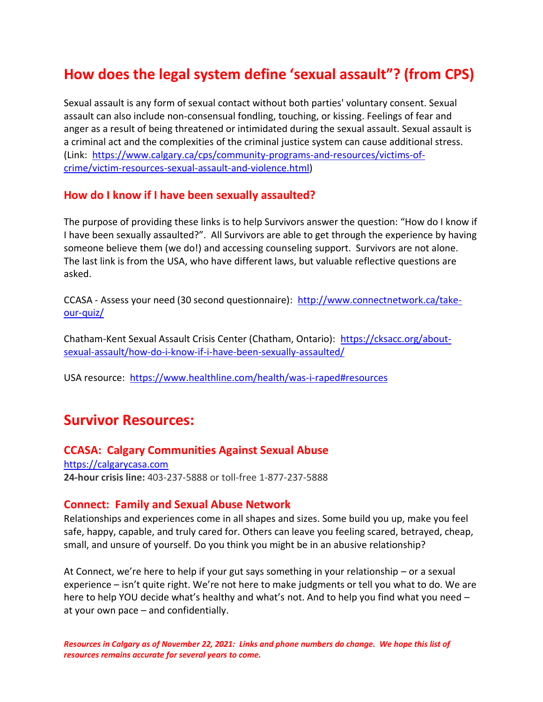# **How does the legal system define 'sexual assault"? (from CPS)**

Sexual assault is any form of sexual contact without both parties' voluntary consent. Sexual assault can also include non-consensual fondling, touching, or kissing. Feelings of fear and anger as a result of being threatened or intimidated during the sexual assault. Sexual assault is a criminal act and the complexities of the criminal justice system can cause additional stress. (Link: [https://www.calgary.ca/cps/community-programs-and-resources/victims-of](https://www.calgary.ca/cps/community-programs-and-resources/victims-of-crime/victim-resources-sexual-assault-and-violence.html)[crime/victim-resources-sexual-assault-and-violence.html\)](https://www.calgary.ca/cps/community-programs-and-resources/victims-of-crime/victim-resources-sexual-assault-and-violence.html)

#### **How do I know if I have been sexually assaulted?**

The purpose of providing these links is to help Survivors answer the question: "How do I know if I have been sexually assaulted?". All Survivors are able to get through the experience by having someone believe them (we do!) and accessing counseling support. Survivors are not alone. The last link is from the USA, who have different laws, but valuable reflective questions are asked.

CCASA - Assess your need (30 second questionnaire): [http://www.connectnetwork.ca/take](http://www.connectnetwork.ca/take-our-quiz/)[our-quiz/](http://www.connectnetwork.ca/take-our-quiz/)

Chatham-Kent Sexual Assault Crisis Center (Chatham, Ontario): [https://cksacc.org/about](https://cksacc.org/about-sexual-assault/how-do-i-know-if-i-have-been-sexually-assaulted/)[sexual-assault/how-do-i-know-if-i-have-been-sexually-assaulted/](https://cksacc.org/about-sexual-assault/how-do-i-know-if-i-have-been-sexually-assaulted/)

USA resource: <https://www.healthline.com/health/was-i-raped#resources>

## **Survivor Resources:**

#### **CCASA: Calgary Communities Against Sexual Abuse**

[https://calgarycasa.com](https://calgarycasa.com/) **24-hour crisis line:** 403-237-5888 or toll-free 1-877-237-5888

#### **Connect: Family and Sexual Abuse Network**

Relationships and experiences come in all shapes and sizes. Some build you up, make you feel safe, happy, capable, and truly cared for. Others can leave you feeling scared, betrayed, cheap, small, and unsure of yourself. Do you think you might be in an abusive relationship?

At Connect, we're here to help if your gut says something in your relationship – or a sexual experience – isn't quite right. We're not here to make judgments or tell you what to do. We are here to help YOU decide what's healthy and what's not. And to help you find what you need – at your own pace – and confidentially.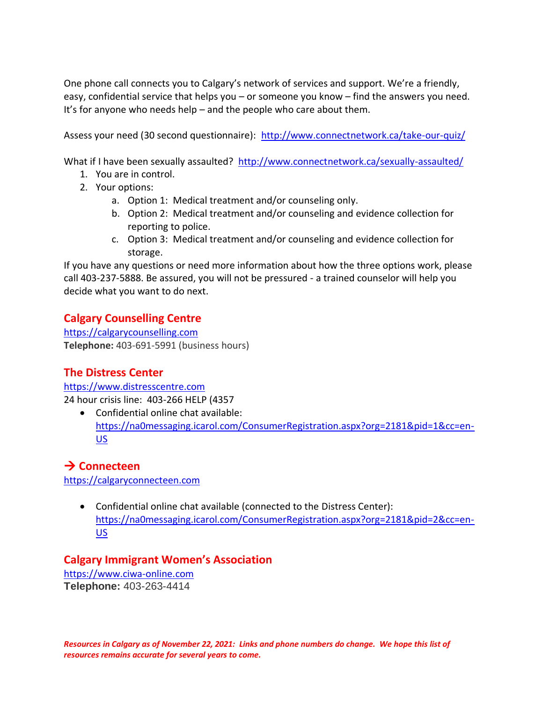One phone call connects you to Calgary's network of services and support. We're a friendly, easy, confidential service that helps you – or someone you know – find the answers you need. It's for anyone who needs help – and the people who care about them.

Assess your need (30 second questionnaire): <http://www.connectnetwork.ca/take-our-quiz/>

What if I have been sexually assaulted? <http://www.connectnetwork.ca/sexually-assaulted/>

- 1. You are in control.
- 2. Your options:
	- a. Option 1: Medical treatment and/or counseling only.
	- b. Option 2: Medical treatment and/or counseling and evidence collection for reporting to police.
	- c. Option 3: Medical treatment and/or counseling and evidence collection for storage.

If you have any questions or need more information about how the three options work, please call 403-237-5888. Be assured, you will not be pressured - a trained counselor will help you decide what you want to do next.

## **Calgary Counselling Centre**

[https://calgarycounselling.com](https://calgarycounselling.com/) **Telephone:** 403-691-5991 (business hours)

## **The Distress Center**

[https://www.distresscentre.com](https://www.distresscentre.com/) 24 hour crisis line: 403-266 HELP (4357

• Confidential online chat available: [https://na0messaging.icarol.com/ConsumerRegistration.aspx?org=2181&pid=1&cc=en-](https://na0messaging.icarol.com/ConsumerRegistration.aspx?org=2181&pid=1&cc=en-US)[US](https://na0messaging.icarol.com/ConsumerRegistration.aspx?org=2181&pid=1&cc=en-US)

## → **Connecteen**

[https://calgaryconnecteen.com](https://calgaryconnecteen.com/)

• Confidential online chat available (connected to the Distress Center): [https://na0messaging.icarol.com/ConsumerRegistration.aspx?org=2181&pid=2&cc=en-](https://na0messaging.icarol.com/ConsumerRegistration.aspx?org=2181&pid=2&cc=en-US)[US](https://na0messaging.icarol.com/ConsumerRegistration.aspx?org=2181&pid=2&cc=en-US)

### **Calgary Immigrant Women's Association**

[https://www.ciwa-online.com](https://www.ciwa-online.com/) **Telephone:** 403-263-4414